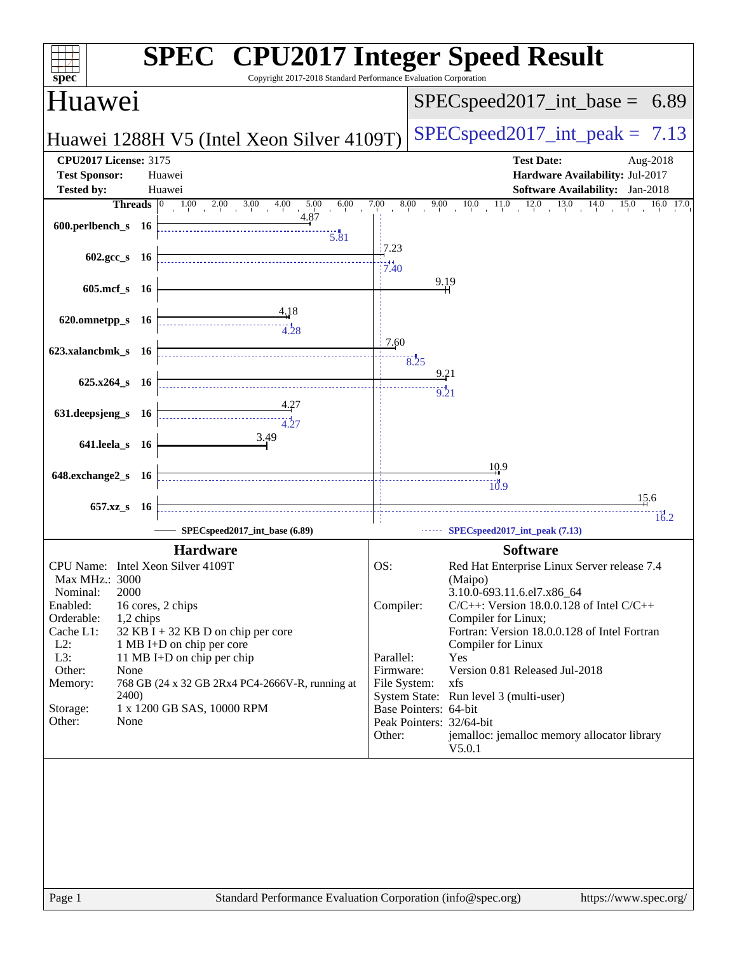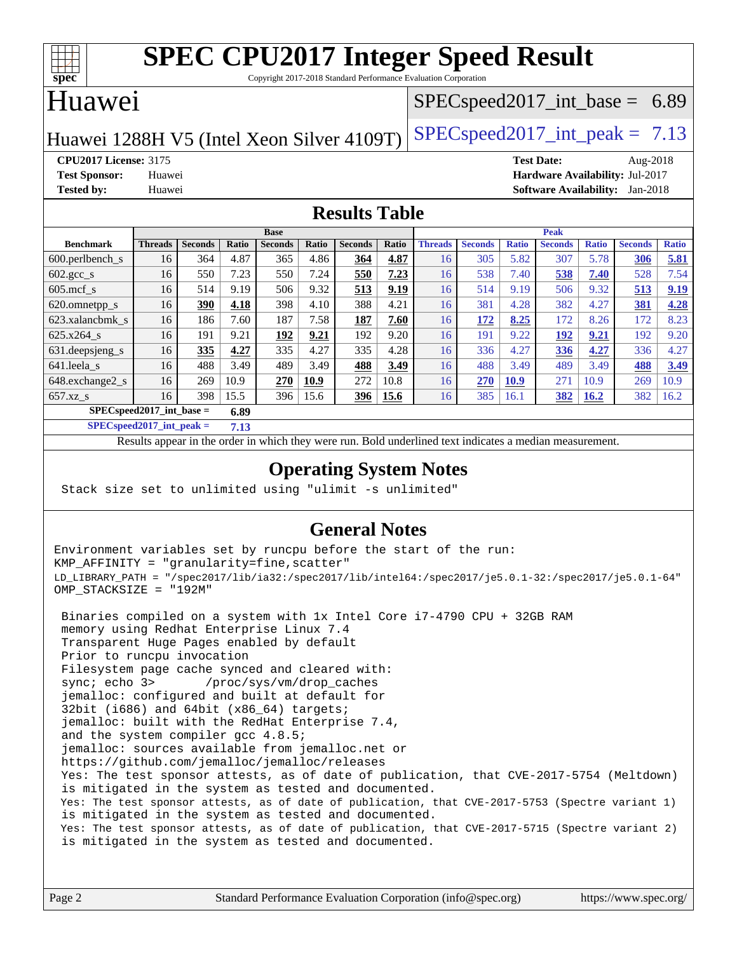

Copyright 2017-2018 Standard Performance Evaluation Corporation

#### Huawei

#### $SPECspeed2017\_int\_base = 6.89$

Huawei 1288H V5 (Intel Xeon Silver 4109T) [SPECspeed2017\\_int\\_peak =](http://www.spec.org/auto/cpu2017/Docs/result-fields.html#SPECspeed2017intpeak)  $7.13$ 

**[CPU2017 License:](http://www.spec.org/auto/cpu2017/Docs/result-fields.html#CPU2017License)** 3175 **[Test Date:](http://www.spec.org/auto/cpu2017/Docs/result-fields.html#TestDate)** Aug-2018 **[Test Sponsor:](http://www.spec.org/auto/cpu2017/Docs/result-fields.html#TestSponsor)** Huawei **[Hardware Availability:](http://www.spec.org/auto/cpu2017/Docs/result-fields.html#HardwareAvailability)** Jul-2017 **[Tested by:](http://www.spec.org/auto/cpu2017/Docs/result-fields.html#Testedby)** Huawei **[Software Availability:](http://www.spec.org/auto/cpu2017/Docs/result-fields.html#SoftwareAvailability)** Jan-2018

#### **[Results Table](http://www.spec.org/auto/cpu2017/Docs/result-fields.html#ResultsTable)**

|                                      | <b>Base</b>    |                |       |                |       | <b>Peak</b>    |       |                |                |              |                |              |                |              |
|--------------------------------------|----------------|----------------|-------|----------------|-------|----------------|-------|----------------|----------------|--------------|----------------|--------------|----------------|--------------|
| <b>Benchmark</b>                     | <b>Threads</b> | <b>Seconds</b> | Ratio | <b>Seconds</b> | Ratio | <b>Seconds</b> | Ratio | <b>Threads</b> | <b>Seconds</b> | <b>Ratio</b> | <b>Seconds</b> | <b>Ratio</b> | <b>Seconds</b> | <b>Ratio</b> |
| $600.$ perlbench $\mathsf{S}$        | 16             | 364            | 4.87  | 365            | 4.86  | 364            | 4.87  | 16             | 305            | 5.82         | 307            | 5.78         | 306            | 5.81         |
| $602.\text{gcc}\_\text{s}$           | 16             | 550            | 7.23  | 550            | 7.24  | 550            | 7.23  | 16             | 538            | 7.40         | 538            | 7.40         | 528            | 7.54         |
| $605$ .mcf s                         | 16             | 514            | 9.19  | 506            | 9.32  | 513            | 9.19  | 16             | 514            | 9.19         | 506            | 9.32         | 513            | 9.19         |
| 620.omnetpp_s                        | 16             | 390            | 4.18  | 398            | 4.10  | 388            | 4.21  | 16             | 381            | 4.28         | 382            | 4.27         | 381            | 4.28         |
| 623.xalancbmk s                      | 16             | 186            | 7.60  | 187            | 7.58  | 187            | 7.60  | 16             | 172            | 8.25         | 172            | 8.26         | 172            | 8.23         |
| 625.x264 s                           | 16             | 191            | 9.21  | 192            | 9.21  | 192            | 9.20  | 16             | 191            | 9.22         | 192            | 9.21         | 192            | 9.20         |
| 631.deepsjeng_s                      | 16             | 335            | 4.27  | 335            | 4.27  | 335            | 4.28  | 16             | 336            | 4.27         | 336            | 4.27         | 336            | 4.27         |
| 641.leela s                          | 16             | 488            | 3.49  | 489            | 3.49  | 488            | 3.49  | 16             | 488            | 3.49         | 489            | 3.49         | 488            | 3.49         |
| 648.exchange2_s                      | 16             | 269            | 10.9  | 270            | 10.9  | 272            | 10.8  | 16             | 270            | <b>10.9</b>  | 271            | 10.9         | 269            | 10.9         |
| $657.xz$ <sub>S</sub>                | 16             | 398            | 15.5  | 396            | 15.6  | 396            | 15.6  | 16             | 385            | 16.1         | 382            | <b>16.2</b>  | 382            | 16.2         |
| $SPECspeed2017\_int\_base =$<br>6.89 |                |                |       |                |       |                |       |                |                |              |                |              |                |              |

**[SPECspeed2017\\_int\\_peak =](http://www.spec.org/auto/cpu2017/Docs/result-fields.html#SPECspeed2017intpeak) 7.13**

Results appear in the [order in which they were run.](http://www.spec.org/auto/cpu2017/Docs/result-fields.html#RunOrder) Bold underlined text [indicates a median measurement](http://www.spec.org/auto/cpu2017/Docs/result-fields.html#Median).

#### **[Operating System Notes](http://www.spec.org/auto/cpu2017/Docs/result-fields.html#OperatingSystemNotes)**

Stack size set to unlimited using "ulimit -s unlimited"

#### **[General Notes](http://www.spec.org/auto/cpu2017/Docs/result-fields.html#GeneralNotes)**

Environment variables set by runcpu before the start of the run: KMP\_AFFINITY = "granularity=fine,scatter" LD\_LIBRARY\_PATH = "/spec2017/lib/ia32:/spec2017/lib/intel64:/spec2017/je5.0.1-32:/spec2017/je5.0.1-64" OMP\_STACKSIZE = "192M"

 Binaries compiled on a system with 1x Intel Core i7-4790 CPU + 32GB RAM memory using Redhat Enterprise Linux 7.4 Transparent Huge Pages enabled by default Prior to runcpu invocation Filesystem page cache synced and cleared with: sync; echo 3> /proc/sys/vm/drop\_caches jemalloc: configured and built at default for 32bit (i686) and 64bit (x86\_64) targets; jemalloc: built with the RedHat Enterprise 7.4, and the system compiler gcc 4.8.5; jemalloc: sources available from jemalloc.net or <https://github.com/jemalloc/jemalloc/releases> Yes: The test sponsor attests, as of date of publication, that CVE-2017-5754 (Meltdown) is mitigated in the system as tested and documented. Yes: The test sponsor attests, as of date of publication, that CVE-2017-5753 (Spectre variant 1) is mitigated in the system as tested and documented. Yes: The test sponsor attests, as of date of publication, that CVE-2017-5715 (Spectre variant 2) is mitigated in the system as tested and documented.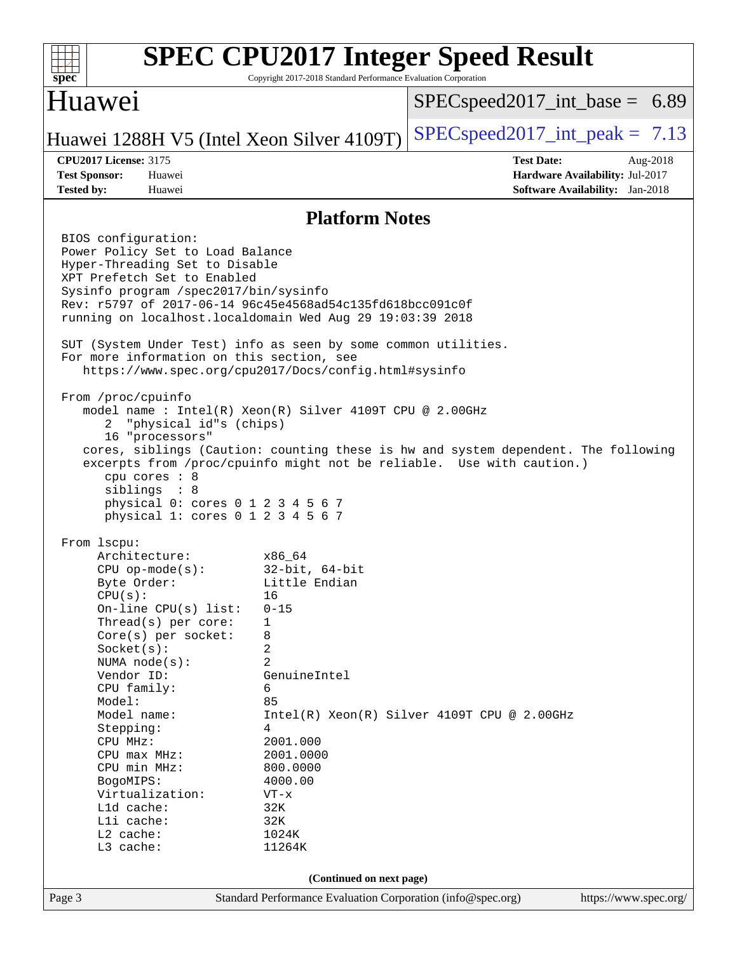#### **[SPEC CPU2017 Integer Speed Result](http://www.spec.org/auto/cpu2017/Docs/result-fields.html#SPECCPU2017IntegerSpeedResult)**  $+\ +$ **[spec](http://www.spec.org/)** Copyright 2017-2018 Standard Performance Evaluation Corporation Huawei  $SPECspeed2017\_int\_base = 6.89$ Huawei 1288H V5 (Intel Xeon Silver 4109T) [SPECspeed2017\\_int\\_peak =](http://www.spec.org/auto/cpu2017/Docs/result-fields.html#SPECspeed2017intpeak)  $7.13$ **[CPU2017 License:](http://www.spec.org/auto/cpu2017/Docs/result-fields.html#CPU2017License)** 3175 **[Test Date:](http://www.spec.org/auto/cpu2017/Docs/result-fields.html#TestDate)** Aug-2018 **[Test Sponsor:](http://www.spec.org/auto/cpu2017/Docs/result-fields.html#TestSponsor)** Huawei **[Hardware Availability:](http://www.spec.org/auto/cpu2017/Docs/result-fields.html#HardwareAvailability)** Jul-2017 **[Tested by:](http://www.spec.org/auto/cpu2017/Docs/result-fields.html#Testedby)** Huawei **[Software Availability:](http://www.spec.org/auto/cpu2017/Docs/result-fields.html#SoftwareAvailability)** Jan-2018 **[Platform Notes](http://www.spec.org/auto/cpu2017/Docs/result-fields.html#PlatformNotes)** BIOS configuration: Power Policy Set to Load Balance Hyper-Threading Set to Disable XPT Prefetch Set to Enabled Sysinfo program /spec2017/bin/sysinfo Rev: r5797 of 2017-06-14 96c45e4568ad54c135fd618bcc091c0f running on localhost.localdomain Wed Aug 29 19:03:39 2018 SUT (System Under Test) info as seen by some common utilities. For more information on this section, see <https://www.spec.org/cpu2017/Docs/config.html#sysinfo> From /proc/cpuinfo model name : Intel(R) Xeon(R) Silver 4109T CPU @ 2.00GHz 2 "physical id"s (chips) 16 "processors" cores, siblings (Caution: counting these is hw and system dependent. The following excerpts from /proc/cpuinfo might not be reliable. Use with caution.) cpu cores : 8 siblings : 8 physical 0: cores 0 1 2 3 4 5 6 7 physical 1: cores 0 1 2 3 4 5 6 7 From lscpu: Architecture: x86\_64 CPU op-mode(s): 32-bit, 64-bit Byte Order: Little Endian  $CPU(s):$  16 On-line CPU(s) list: 0-15 Thread(s) per core: 1 Core(s) per socket: 8  $Socket(s):$  2 NUMA node(s): 2 Vendor ID: GenuineIntel CPU family: 6 Model: 85 Model name: Intel(R) Xeon(R) Silver 4109T CPU @ 2.00GHz Stepping: 4 CPU MHz: 2001.000 CPU max MHz: 2001.0000 CPU min MHz: 800.0000 BogoMIPS: 4000.00 Virtualization: VT-x L1d cache: 32K<br>
L1i cache: 32K  $L1i$  cache: L2 cache: 1024K L3 cache: 11264K **(Continued on next page)**Page 3 Standard Performance Evaluation Corporation [\(info@spec.org\)](mailto:info@spec.org) <https://www.spec.org/>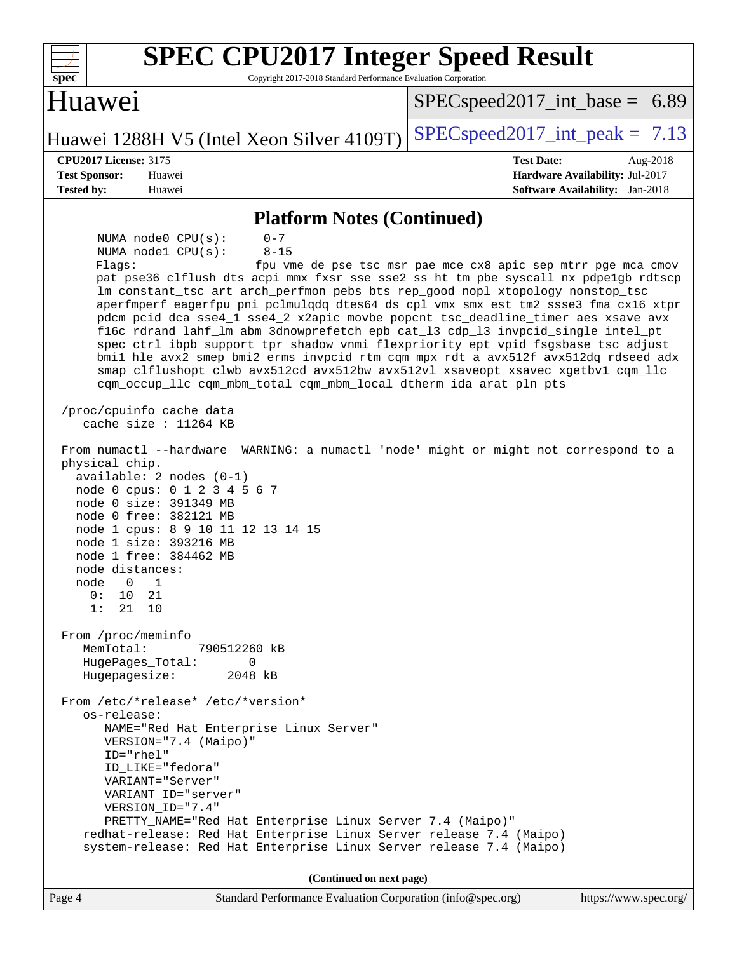| <b>SPEC CPU2017 Integer Speed Result</b><br>spec<br>Copyright 2017-2018 Standard Performance Evaluation Corporation                                                                                                                                                                                                                                                                                                                                                                                                                                                                                                                                                                                                                                                                                                                                                                                                                 |                                                                                                                               |
|-------------------------------------------------------------------------------------------------------------------------------------------------------------------------------------------------------------------------------------------------------------------------------------------------------------------------------------------------------------------------------------------------------------------------------------------------------------------------------------------------------------------------------------------------------------------------------------------------------------------------------------------------------------------------------------------------------------------------------------------------------------------------------------------------------------------------------------------------------------------------------------------------------------------------------------|-------------------------------------------------------------------------------------------------------------------------------|
| Huawei                                                                                                                                                                                                                                                                                                                                                                                                                                                                                                                                                                                                                                                                                                                                                                                                                                                                                                                              | $SPEC speed2017\_int\_base = 6.89$                                                                                            |
| Huawei 1288H V5 (Intel Xeon Silver 4109T)                                                                                                                                                                                                                                                                                                                                                                                                                                                                                                                                                                                                                                                                                                                                                                                                                                                                                           | $SPEC speed2017\_int\_peak = 7.13$                                                                                            |
| <b>CPU2017 License: 3175</b>                                                                                                                                                                                                                                                                                                                                                                                                                                                                                                                                                                                                                                                                                                                                                                                                                                                                                                        | <b>Test Date:</b><br>Aug-2018                                                                                                 |
| <b>Test Sponsor:</b><br>Huawei<br><b>Tested by:</b><br>Huawei                                                                                                                                                                                                                                                                                                                                                                                                                                                                                                                                                                                                                                                                                                                                                                                                                                                                       | Hardware Availability: Jul-2017<br><b>Software Availability:</b> Jan-2018                                                     |
| <b>Platform Notes (Continued)</b>                                                                                                                                                                                                                                                                                                                                                                                                                                                                                                                                                                                                                                                                                                                                                                                                                                                                                                   |                                                                                                                               |
| NUMA node0 CPU(s):<br>$0 - 7$<br>$8 - 15$<br>NUMA nodel CPU(s):<br>Flags:<br>pat pse36 clflush dts acpi mmx fxsr sse sse2 ss ht tm pbe syscall nx pdpe1gb rdtscp<br>lm constant_tsc art arch_perfmon pebs bts rep_good nopl xtopology nonstop_tsc<br>aperfmperf eagerfpu pni pclmulqdq dtes64 ds_cpl vmx smx est tm2 ssse3 fma cx16 xtpr<br>pdcm pcid dca sse4_1 sse4_2 x2apic movbe popcnt tsc_deadline_timer aes xsave avx<br>f16c rdrand lahf_lm abm 3dnowprefetch epb cat_13 cdp_13 invpcid_single intel_pt<br>spec_ctrl ibpb_support tpr_shadow vnmi flexpriority ept vpid fsgsbase tsc_adjust<br>bmil hle avx2 smep bmi2 erms invpcid rtm cqm mpx rdt_a avx512f avx512dq rdseed adx<br>smap clflushopt clwb avx512cd avx512bw avx512vl xsaveopt xsavec xgetbvl cqm_llc<br>cqm_occup_llc cqm_mbm_total cqm_mbm_local dtherm ida arat pln pts<br>/proc/cpuinfo cache data<br>cache size : $11264$ KB<br>From numactl --hardware | fpu vme de pse tsc msr pae mce cx8 apic sep mtrr pge mca cmov<br>WARNING: a numactl 'node' might or might not correspond to a |
| physical chip.<br>$available: 2 nodes (0-1)$<br>node 0 cpus: 0 1 2 3 4 5 6 7<br>node 0 size: 391349 MB<br>node 0 free: 382121 MB<br>node 1 cpus: 8 9 10 11 12 13 14 15<br>node 1 size: 393216 MB<br>node 1 free: 384462 MB<br>node distances:<br>node<br>1<br>$\cup$<br>21<br>0:<br>10<br>1:<br>21<br>10                                                                                                                                                                                                                                                                                                                                                                                                                                                                                                                                                                                                                            |                                                                                                                               |
| From /proc/meminfo<br>MemTotal:<br>790512260 kB<br>HugePages_Total:<br>$\Omega$<br>Hugepagesize:<br>2048 kB                                                                                                                                                                                                                                                                                                                                                                                                                                                                                                                                                                                                                                                                                                                                                                                                                         |                                                                                                                               |
| From /etc/*release* /etc/*version*<br>os-release:<br>NAME="Red Hat Enterprise Linux Server"<br>VERSION="7.4 (Maipo)"<br>$ID="rhe1"$<br>ID_LIKE="fedora"<br>VARIANT="Server"<br>VARIANT_ID="server"<br>VERSION_ID="7.4"<br>PRETTY_NAME="Red Hat Enterprise Linux Server 7.4 (Maipo)"<br>redhat-release: Red Hat Enterprise Linux Server release 7.4 (Maipo)                                                                                                                                                                                                                                                                                                                                                                                                                                                                                                                                                                          |                                                                                                                               |
| system-release: Red Hat Enterprise Linux Server release 7.4 (Maipo)                                                                                                                                                                                                                                                                                                                                                                                                                                                                                                                                                                                                                                                                                                                                                                                                                                                                 |                                                                                                                               |
| (Continued on next page)                                                                                                                                                                                                                                                                                                                                                                                                                                                                                                                                                                                                                                                                                                                                                                                                                                                                                                            |                                                                                                                               |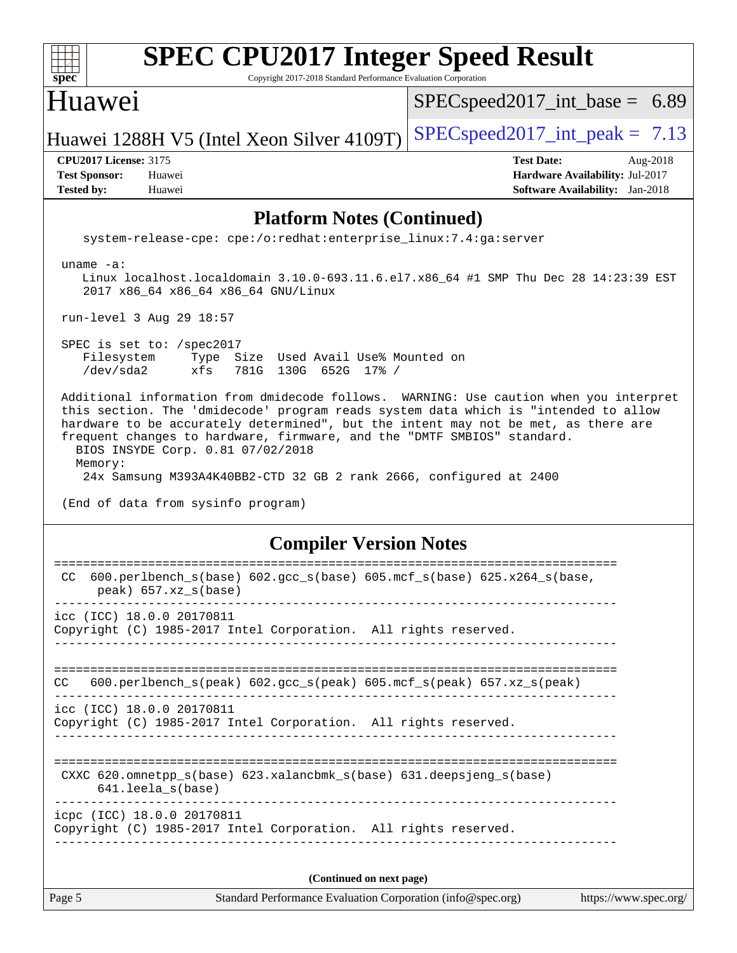| $spec^*$                                                                  | <b>SPEC CPU2017 Integer Speed Result</b><br>Copyright 2017-2018 Standard Performance Evaluation Corporation                                                                                                                                                                                                                                                                                                                                                                                     |                               |                                    |                   |                                                                           |          |  |
|---------------------------------------------------------------------------|-------------------------------------------------------------------------------------------------------------------------------------------------------------------------------------------------------------------------------------------------------------------------------------------------------------------------------------------------------------------------------------------------------------------------------------------------------------------------------------------------|-------------------------------|------------------------------------|-------------------|---------------------------------------------------------------------------|----------|--|
| Huawei                                                                    |                                                                                                                                                                                                                                                                                                                                                                                                                                                                                                 |                               | $SPEC speed2017\_int\_base = 6.89$ |                   |                                                                           |          |  |
|                                                                           | Huawei 1288H V5 (Intel Xeon Silver 4109T)                                                                                                                                                                                                                                                                                                                                                                                                                                                       |                               | $SPEC speed2017\_int\_peak = 7.13$ |                   |                                                                           |          |  |
| <b>CPU2017 License: 3175</b><br><b>Test Sponsor:</b><br><b>Tested by:</b> | Huawei<br>Huawei                                                                                                                                                                                                                                                                                                                                                                                                                                                                                |                               |                                    | <b>Test Date:</b> | Hardware Availability: Jul-2017<br><b>Software Availability:</b> Jan-2018 | Aug-2018 |  |
|                                                                           | <b>Platform Notes (Continued)</b>                                                                                                                                                                                                                                                                                                                                                                                                                                                               |                               |                                    |                   |                                                                           |          |  |
|                                                                           | system-release-cpe: cpe:/o:redhat:enterprise_linux:7.4:ga:server                                                                                                                                                                                                                                                                                                                                                                                                                                |                               |                                    |                   |                                                                           |          |  |
| uname $-a$ :                                                              | Linux localhost.localdomain 3.10.0-693.11.6.el7.x86_64 #1 SMP Thu Dec 28 14:23:39 EST<br>2017 x86_64 x86_64 x86_64 GNU/Linux                                                                                                                                                                                                                                                                                                                                                                    |                               |                                    |                   |                                                                           |          |  |
|                                                                           | run-level 3 Aug 29 18:57                                                                                                                                                                                                                                                                                                                                                                                                                                                                        |                               |                                    |                   |                                                                           |          |  |
| Filesystem<br>/dev/sda2                                                   | SPEC is set to: /spec2017<br>Type Size Used Avail Use% Mounted on<br>xfs<br>781G 130G 652G 17% /                                                                                                                                                                                                                                                                                                                                                                                                |                               |                                    |                   |                                                                           |          |  |
| Memory:                                                                   | Additional information from dmidecode follows. WARNING: Use caution when you interpret<br>this section. The 'dmidecode' program reads system data which is "intended to allow<br>hardware to be accurately determined", but the intent may not be met, as there are<br>frequent changes to hardware, firmware, and the "DMTF SMBIOS" standard.<br>BIOS INSYDE Corp. 0.81 07/02/2018<br>24x Samsung M393A4K40BB2-CTD 32 GB 2 rank 2666, configured at 2400<br>(End of data from sysinfo program) |                               |                                    |                   |                                                                           |          |  |
|                                                                           |                                                                                                                                                                                                                                                                                                                                                                                                                                                                                                 | <b>Compiler Version Notes</b> |                                    |                   |                                                                           |          |  |
| CC                                                                        | 600.perlbench_s(base) 602.gcc_s(base) 605.mcf_s(base) 625.x264_s(base,<br>peak) 657.xz_s(base)                                                                                                                                                                                                                                                                                                                                                                                                  |                               |                                    |                   |                                                                           |          |  |
|                                                                           | icc (ICC) 18.0.0 20170811<br>Copyright (C) 1985-2017 Intel Corporation. All rights reserved.                                                                                                                                                                                                                                                                                                                                                                                                    |                               |                                    |                   |                                                                           |          |  |
| CC.                                                                       | 600.perlbench_s(peak) 602.gcc_s(peak) 605.mcf_s(peak) 657.xz_s(peak)                                                                                                                                                                                                                                                                                                                                                                                                                            |                               |                                    |                   |                                                                           |          |  |
|                                                                           | icc (ICC) 18.0.0 20170811<br>Copyright (C) 1985-2017 Intel Corporation. All rights reserved.                                                                                                                                                                                                                                                                                                                                                                                                    |                               |                                    |                   |                                                                           |          |  |
|                                                                           | CXXC 620.omnetpp_s(base) 623.xalancbmk_s(base) 631.deepsjeng_s(base)<br>641.leela_s(base)                                                                                                                                                                                                                                                                                                                                                                                                       |                               |                                    |                   |                                                                           |          |  |
|                                                                           | icpc (ICC) 18.0.0 20170811                                                                                                                                                                                                                                                                                                                                                                                                                                                                      |                               |                                    |                   |                                                                           |          |  |

Copyright (C) 1985-2017 Intel Corporation. All rights reserved. ------------------------------------------------------------------------------

**(Continued on next page)**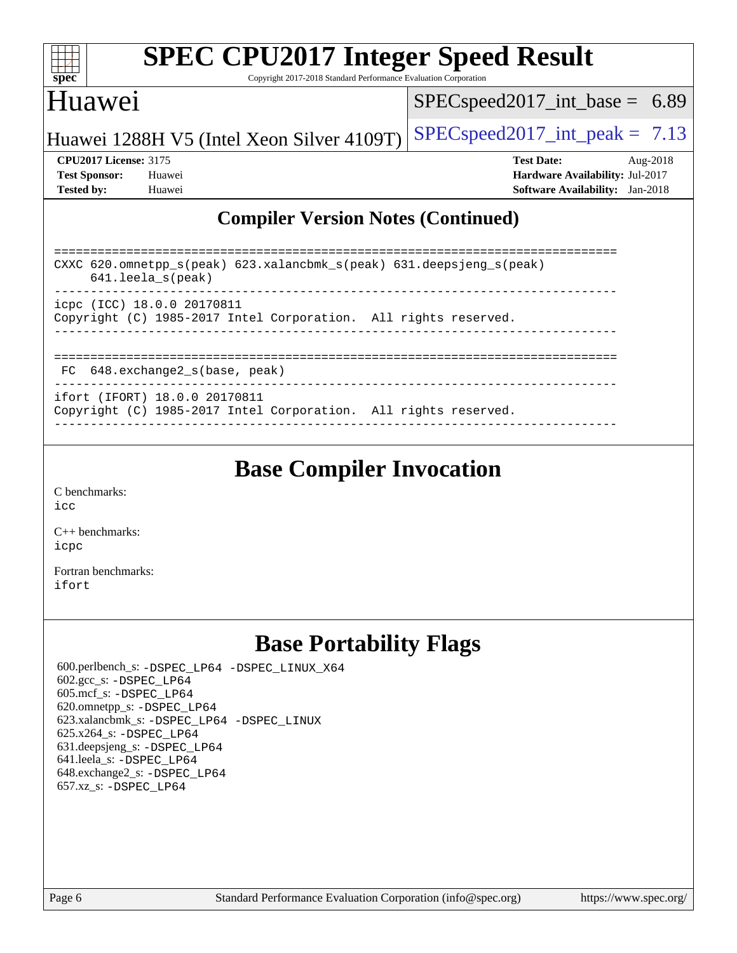| S<br>e<br>1)<br>L. |  |  |  |  |  |  |
|--------------------|--|--|--|--|--|--|

Copyright 2017-2018 Standard Performance Evaluation Corporation

## Huawei

[SPECspeed2017\\_int\\_base =](http://www.spec.org/auto/cpu2017/Docs/result-fields.html#SPECspeed2017intbase) 6.89

Huawei 1288H V5 (Intel Xeon Silver 4109T) [SPECspeed2017\\_int\\_peak =](http://www.spec.org/auto/cpu2017/Docs/result-fields.html#SPECspeed2017intpeak)  $7.13$ 

**[CPU2017 License:](http://www.spec.org/auto/cpu2017/Docs/result-fields.html#CPU2017License)** 3175 **[Test Date:](http://www.spec.org/auto/cpu2017/Docs/result-fields.html#TestDate)** Aug-2018 **[Test Sponsor:](http://www.spec.org/auto/cpu2017/Docs/result-fields.html#TestSponsor)** Huawei **[Hardware Availability:](http://www.spec.org/auto/cpu2017/Docs/result-fields.html#HardwareAvailability)** Jul-2017 **[Tested by:](http://www.spec.org/auto/cpu2017/Docs/result-fields.html#Testedby)** Huawei **[Software Availability:](http://www.spec.org/auto/cpu2017/Docs/result-fields.html#SoftwareAvailability)** Jan-2018

#### **[Compiler Version Notes \(Continued\)](http://www.spec.org/auto/cpu2017/Docs/result-fields.html#CompilerVersionNotes)**

| CXXC 620.omnetpp $s(\text{peak})$ 623.xalancbmk $s(\text{peak})$ 631.deepsjeng $s(\text{peak})$<br>$641.$ leela $s$ (peak) |  |  |  |  |  |  |
|----------------------------------------------------------------------------------------------------------------------------|--|--|--|--|--|--|
| icpc (ICC) 18.0.0 20170811<br>Copyright (C) 1985-2017 Intel Corporation. All rights reserved.                              |  |  |  |  |  |  |
| FC 648.exchange2 s(base, peak)                                                                                             |  |  |  |  |  |  |
| ifort (IFORT) 18.0.0 20170811<br>Copyright (C) 1985-2017 Intel Corporation. All rights reserved.                           |  |  |  |  |  |  |

------------------------------------------------------------------------------

#### **[Base Compiler Invocation](http://www.spec.org/auto/cpu2017/Docs/result-fields.html#BaseCompilerInvocation)**

[C benchmarks](http://www.spec.org/auto/cpu2017/Docs/result-fields.html#Cbenchmarks): [icc](http://www.spec.org/cpu2017/results/res2018q4/cpu2017-20180909-08823.flags.html#user_CCbase_intel_icc_18.0_66fc1ee009f7361af1fbd72ca7dcefbb700085f36577c54f309893dd4ec40d12360134090235512931783d35fd58c0460139e722d5067c5574d8eaf2b3e37e92)

[C++ benchmarks:](http://www.spec.org/auto/cpu2017/Docs/result-fields.html#CXXbenchmarks) [icpc](http://www.spec.org/cpu2017/results/res2018q4/cpu2017-20180909-08823.flags.html#user_CXXbase_intel_icpc_18.0_c510b6838c7f56d33e37e94d029a35b4a7bccf4766a728ee175e80a419847e808290a9b78be685c44ab727ea267ec2f070ec5dc83b407c0218cded6866a35d07)

[Fortran benchmarks](http://www.spec.org/auto/cpu2017/Docs/result-fields.html#Fortranbenchmarks): [ifort](http://www.spec.org/cpu2017/results/res2018q4/cpu2017-20180909-08823.flags.html#user_FCbase_intel_ifort_18.0_8111460550e3ca792625aed983ce982f94888b8b503583aa7ba2b8303487b4d8a21a13e7191a45c5fd58ff318f48f9492884d4413fa793fd88dd292cad7027ca)

### **[Base Portability Flags](http://www.spec.org/auto/cpu2017/Docs/result-fields.html#BasePortabilityFlags)**

 600.perlbench\_s: [-DSPEC\\_LP64](http://www.spec.org/cpu2017/results/res2018q4/cpu2017-20180909-08823.flags.html#b600.perlbench_s_basePORTABILITY_DSPEC_LP64) [-DSPEC\\_LINUX\\_X64](http://www.spec.org/cpu2017/results/res2018q4/cpu2017-20180909-08823.flags.html#b600.perlbench_s_baseCPORTABILITY_DSPEC_LINUX_X64) 602.gcc\_s: [-DSPEC\\_LP64](http://www.spec.org/cpu2017/results/res2018q4/cpu2017-20180909-08823.flags.html#suite_basePORTABILITY602_gcc_s_DSPEC_LP64) 605.mcf\_s: [-DSPEC\\_LP64](http://www.spec.org/cpu2017/results/res2018q4/cpu2017-20180909-08823.flags.html#suite_basePORTABILITY605_mcf_s_DSPEC_LP64) 620.omnetpp\_s: [-DSPEC\\_LP64](http://www.spec.org/cpu2017/results/res2018q4/cpu2017-20180909-08823.flags.html#suite_basePORTABILITY620_omnetpp_s_DSPEC_LP64) 623.xalancbmk\_s: [-DSPEC\\_LP64](http://www.spec.org/cpu2017/results/res2018q4/cpu2017-20180909-08823.flags.html#suite_basePORTABILITY623_xalancbmk_s_DSPEC_LP64) [-DSPEC\\_LINUX](http://www.spec.org/cpu2017/results/res2018q4/cpu2017-20180909-08823.flags.html#b623.xalancbmk_s_baseCXXPORTABILITY_DSPEC_LINUX) 625.x264\_s: [-DSPEC\\_LP64](http://www.spec.org/cpu2017/results/res2018q4/cpu2017-20180909-08823.flags.html#suite_basePORTABILITY625_x264_s_DSPEC_LP64) 631.deepsjeng\_s: [-DSPEC\\_LP64](http://www.spec.org/cpu2017/results/res2018q4/cpu2017-20180909-08823.flags.html#suite_basePORTABILITY631_deepsjeng_s_DSPEC_LP64) 641.leela\_s: [-DSPEC\\_LP64](http://www.spec.org/cpu2017/results/res2018q4/cpu2017-20180909-08823.flags.html#suite_basePORTABILITY641_leela_s_DSPEC_LP64) 648.exchange2\_s: [-DSPEC\\_LP64](http://www.spec.org/cpu2017/results/res2018q4/cpu2017-20180909-08823.flags.html#suite_basePORTABILITY648_exchange2_s_DSPEC_LP64) 657.xz\_s: [-DSPEC\\_LP64](http://www.spec.org/cpu2017/results/res2018q4/cpu2017-20180909-08823.flags.html#suite_basePORTABILITY657_xz_s_DSPEC_LP64)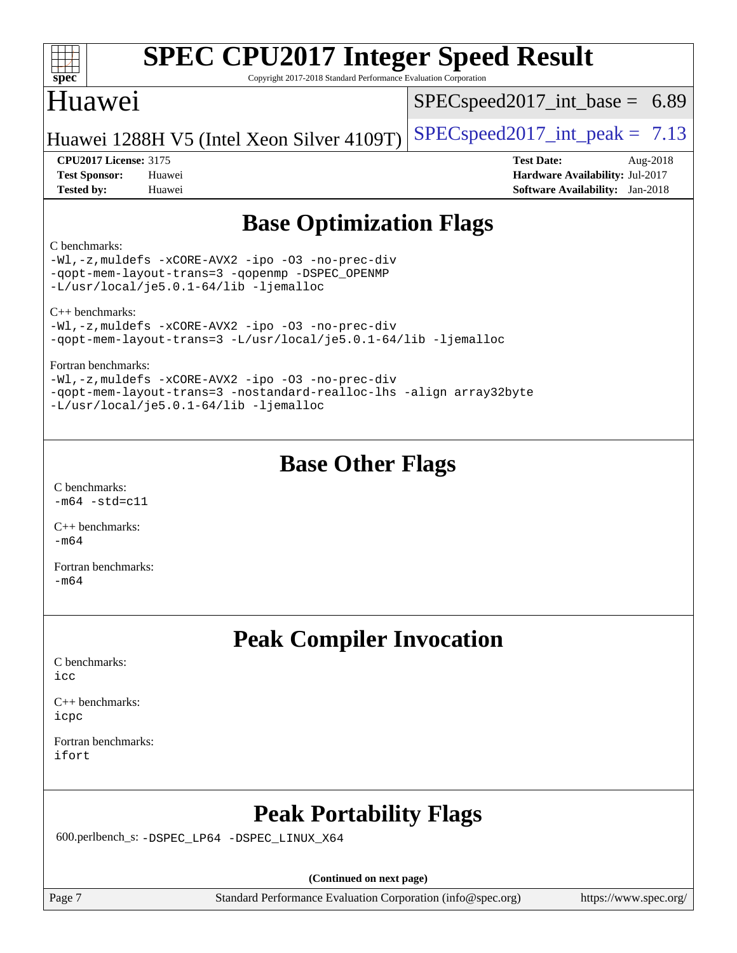| <b>SPEC CPU2017 Integer Speed Result</b> |  |
|------------------------------------------|--|

Copyright 2017-2018 Standard Performance Evaluation Corporation

## Huawei

**[spec](http://www.spec.org/)**

 $SPECspeed2017\_int\_base = 6.89$ 

Huawei 1288H V5 (Intel Xeon Silver 4109T) [SPECspeed2017\\_int\\_peak =](http://www.spec.org/auto/cpu2017/Docs/result-fields.html#SPECspeed2017intpeak)  $7.13$ 

**[CPU2017 License:](http://www.spec.org/auto/cpu2017/Docs/result-fields.html#CPU2017License)** 3175 **[Test Date:](http://www.spec.org/auto/cpu2017/Docs/result-fields.html#TestDate)** Aug-2018 **[Test Sponsor:](http://www.spec.org/auto/cpu2017/Docs/result-fields.html#TestSponsor)** Huawei **[Hardware Availability:](http://www.spec.org/auto/cpu2017/Docs/result-fields.html#HardwareAvailability)** Jul-2017 **[Tested by:](http://www.spec.org/auto/cpu2017/Docs/result-fields.html#Testedby)** Huawei **[Software Availability:](http://www.spec.org/auto/cpu2017/Docs/result-fields.html#SoftwareAvailability)** Jan-2018

## **[Base Optimization Flags](http://www.spec.org/auto/cpu2017/Docs/result-fields.html#BaseOptimizationFlags)**

#### [C benchmarks](http://www.spec.org/auto/cpu2017/Docs/result-fields.html#Cbenchmarks):

[-Wl,-z,muldefs](http://www.spec.org/cpu2017/results/res2018q4/cpu2017-20180909-08823.flags.html#user_CCbase_link_force_multiple1_b4cbdb97b34bdee9ceefcfe54f4c8ea74255f0b02a4b23e853cdb0e18eb4525ac79b5a88067c842dd0ee6996c24547a27a4b99331201badda8798ef8a743f577) [-xCORE-AVX2](http://www.spec.org/cpu2017/results/res2018q4/cpu2017-20180909-08823.flags.html#user_CCbase_f-xCORE-AVX2) [-ipo](http://www.spec.org/cpu2017/results/res2018q4/cpu2017-20180909-08823.flags.html#user_CCbase_f-ipo) [-O3](http://www.spec.org/cpu2017/results/res2018q4/cpu2017-20180909-08823.flags.html#user_CCbase_f-O3) [-no-prec-div](http://www.spec.org/cpu2017/results/res2018q4/cpu2017-20180909-08823.flags.html#user_CCbase_f-no-prec-div) [-qopt-mem-layout-trans=3](http://www.spec.org/cpu2017/results/res2018q4/cpu2017-20180909-08823.flags.html#user_CCbase_f-qopt-mem-layout-trans_de80db37974c74b1f0e20d883f0b675c88c3b01e9d123adea9b28688d64333345fb62bc4a798493513fdb68f60282f9a726aa07f478b2f7113531aecce732043) [-qopenmp](http://www.spec.org/cpu2017/results/res2018q4/cpu2017-20180909-08823.flags.html#user_CCbase_qopenmp_16be0c44f24f464004c6784a7acb94aca937f053568ce72f94b139a11c7c168634a55f6653758ddd83bcf7b8463e8028bb0b48b77bcddc6b78d5d95bb1df2967) [-DSPEC\\_OPENMP](http://www.spec.org/cpu2017/results/res2018q4/cpu2017-20180909-08823.flags.html#suite_CCbase_DSPEC_OPENMP) [-L/usr/local/je5.0.1-64/lib](http://www.spec.org/cpu2017/results/res2018q4/cpu2017-20180909-08823.flags.html#user_CCbase_jemalloc_link_path64_4b10a636b7bce113509b17f3bd0d6226c5fb2346b9178c2d0232c14f04ab830f976640479e5c33dc2bcbbdad86ecfb6634cbbd4418746f06f368b512fced5394) [-ljemalloc](http://www.spec.org/cpu2017/results/res2018q4/cpu2017-20180909-08823.flags.html#user_CCbase_jemalloc_link_lib_d1249b907c500fa1c0672f44f562e3d0f79738ae9e3c4a9c376d49f265a04b9c99b167ecedbf6711b3085be911c67ff61f150a17b3472be731631ba4d0471706)

[C++ benchmarks](http://www.spec.org/auto/cpu2017/Docs/result-fields.html#CXXbenchmarks):

[-Wl,-z,muldefs](http://www.spec.org/cpu2017/results/res2018q4/cpu2017-20180909-08823.flags.html#user_CXXbase_link_force_multiple1_b4cbdb97b34bdee9ceefcfe54f4c8ea74255f0b02a4b23e853cdb0e18eb4525ac79b5a88067c842dd0ee6996c24547a27a4b99331201badda8798ef8a743f577) [-xCORE-AVX2](http://www.spec.org/cpu2017/results/res2018q4/cpu2017-20180909-08823.flags.html#user_CXXbase_f-xCORE-AVX2) [-ipo](http://www.spec.org/cpu2017/results/res2018q4/cpu2017-20180909-08823.flags.html#user_CXXbase_f-ipo) [-O3](http://www.spec.org/cpu2017/results/res2018q4/cpu2017-20180909-08823.flags.html#user_CXXbase_f-O3) [-no-prec-div](http://www.spec.org/cpu2017/results/res2018q4/cpu2017-20180909-08823.flags.html#user_CXXbase_f-no-prec-div) [-qopt-mem-layout-trans=3](http://www.spec.org/cpu2017/results/res2018q4/cpu2017-20180909-08823.flags.html#user_CXXbase_f-qopt-mem-layout-trans_de80db37974c74b1f0e20d883f0b675c88c3b01e9d123adea9b28688d64333345fb62bc4a798493513fdb68f60282f9a726aa07f478b2f7113531aecce732043) [-L/usr/local/je5.0.1-64/lib](http://www.spec.org/cpu2017/results/res2018q4/cpu2017-20180909-08823.flags.html#user_CXXbase_jemalloc_link_path64_4b10a636b7bce113509b17f3bd0d6226c5fb2346b9178c2d0232c14f04ab830f976640479e5c33dc2bcbbdad86ecfb6634cbbd4418746f06f368b512fced5394) [-ljemalloc](http://www.spec.org/cpu2017/results/res2018q4/cpu2017-20180909-08823.flags.html#user_CXXbase_jemalloc_link_lib_d1249b907c500fa1c0672f44f562e3d0f79738ae9e3c4a9c376d49f265a04b9c99b167ecedbf6711b3085be911c67ff61f150a17b3472be731631ba4d0471706)

[Fortran benchmarks:](http://www.spec.org/auto/cpu2017/Docs/result-fields.html#Fortranbenchmarks)

[-Wl,-z,muldefs](http://www.spec.org/cpu2017/results/res2018q4/cpu2017-20180909-08823.flags.html#user_FCbase_link_force_multiple1_b4cbdb97b34bdee9ceefcfe54f4c8ea74255f0b02a4b23e853cdb0e18eb4525ac79b5a88067c842dd0ee6996c24547a27a4b99331201badda8798ef8a743f577) [-xCORE-AVX2](http://www.spec.org/cpu2017/results/res2018q4/cpu2017-20180909-08823.flags.html#user_FCbase_f-xCORE-AVX2) [-ipo](http://www.spec.org/cpu2017/results/res2018q4/cpu2017-20180909-08823.flags.html#user_FCbase_f-ipo) [-O3](http://www.spec.org/cpu2017/results/res2018q4/cpu2017-20180909-08823.flags.html#user_FCbase_f-O3) [-no-prec-div](http://www.spec.org/cpu2017/results/res2018q4/cpu2017-20180909-08823.flags.html#user_FCbase_f-no-prec-div) [-qopt-mem-layout-trans=3](http://www.spec.org/cpu2017/results/res2018q4/cpu2017-20180909-08823.flags.html#user_FCbase_f-qopt-mem-layout-trans_de80db37974c74b1f0e20d883f0b675c88c3b01e9d123adea9b28688d64333345fb62bc4a798493513fdb68f60282f9a726aa07f478b2f7113531aecce732043) [-nostandard-realloc-lhs](http://www.spec.org/cpu2017/results/res2018q4/cpu2017-20180909-08823.flags.html#user_FCbase_f_2003_std_realloc_82b4557e90729c0f113870c07e44d33d6f5a304b4f63d4c15d2d0f1fab99f5daaed73bdb9275d9ae411527f28b936061aa8b9c8f2d63842963b95c9dd6426b8a) [-align array32byte](http://www.spec.org/cpu2017/results/res2018q4/cpu2017-20180909-08823.flags.html#user_FCbase_align_array32byte_b982fe038af199962ba9a80c053b8342c548c85b40b8e86eb3cc33dee0d7986a4af373ac2d51c3f7cf710a18d62fdce2948f201cd044323541f22fc0fffc51b6) [-L/usr/local/je5.0.1-64/lib](http://www.spec.org/cpu2017/results/res2018q4/cpu2017-20180909-08823.flags.html#user_FCbase_jemalloc_link_path64_4b10a636b7bce113509b17f3bd0d6226c5fb2346b9178c2d0232c14f04ab830f976640479e5c33dc2bcbbdad86ecfb6634cbbd4418746f06f368b512fced5394) [-ljemalloc](http://www.spec.org/cpu2017/results/res2018q4/cpu2017-20180909-08823.flags.html#user_FCbase_jemalloc_link_lib_d1249b907c500fa1c0672f44f562e3d0f79738ae9e3c4a9c376d49f265a04b9c99b167ecedbf6711b3085be911c67ff61f150a17b3472be731631ba4d0471706)

## **[Base Other Flags](http://www.spec.org/auto/cpu2017/Docs/result-fields.html#BaseOtherFlags)**

[C benchmarks](http://www.spec.org/auto/cpu2017/Docs/result-fields.html#Cbenchmarks):  $-m64$   $-std=cl1$ 

[C++ benchmarks:](http://www.spec.org/auto/cpu2017/Docs/result-fields.html#CXXbenchmarks)  $-m64$ 

[Fortran benchmarks](http://www.spec.org/auto/cpu2017/Docs/result-fields.html#Fortranbenchmarks): [-m64](http://www.spec.org/cpu2017/results/res2018q4/cpu2017-20180909-08823.flags.html#user_FCbase_intel_intel64_18.0_af43caccfc8ded86e7699f2159af6efc7655f51387b94da716254467f3c01020a5059329e2569e4053f409e7c9202a7efc638f7a6d1ffb3f52dea4a3e31d82ab)

### **[Peak Compiler Invocation](http://www.spec.org/auto/cpu2017/Docs/result-fields.html#PeakCompilerInvocation)**

[C benchmarks](http://www.spec.org/auto/cpu2017/Docs/result-fields.html#Cbenchmarks): [icc](http://www.spec.org/cpu2017/results/res2018q4/cpu2017-20180909-08823.flags.html#user_CCpeak_intel_icc_18.0_66fc1ee009f7361af1fbd72ca7dcefbb700085f36577c54f309893dd4ec40d12360134090235512931783d35fd58c0460139e722d5067c5574d8eaf2b3e37e92)

[C++ benchmarks:](http://www.spec.org/auto/cpu2017/Docs/result-fields.html#CXXbenchmarks) [icpc](http://www.spec.org/cpu2017/results/res2018q4/cpu2017-20180909-08823.flags.html#user_CXXpeak_intel_icpc_18.0_c510b6838c7f56d33e37e94d029a35b4a7bccf4766a728ee175e80a419847e808290a9b78be685c44ab727ea267ec2f070ec5dc83b407c0218cded6866a35d07)

[Fortran benchmarks](http://www.spec.org/auto/cpu2017/Docs/result-fields.html#Fortranbenchmarks): [ifort](http://www.spec.org/cpu2017/results/res2018q4/cpu2017-20180909-08823.flags.html#user_FCpeak_intel_ifort_18.0_8111460550e3ca792625aed983ce982f94888b8b503583aa7ba2b8303487b4d8a21a13e7191a45c5fd58ff318f48f9492884d4413fa793fd88dd292cad7027ca)

## **[Peak Portability Flags](http://www.spec.org/auto/cpu2017/Docs/result-fields.html#PeakPortabilityFlags)**

600.perlbench\_s: [-DSPEC\\_LP64](http://www.spec.org/cpu2017/results/res2018q4/cpu2017-20180909-08823.flags.html#b600.perlbench_s_peakPORTABILITY_DSPEC_LP64) [-DSPEC\\_LINUX\\_X64](http://www.spec.org/cpu2017/results/res2018q4/cpu2017-20180909-08823.flags.html#b600.perlbench_s_peakCPORTABILITY_DSPEC_LINUX_X64)

**(Continued on next page)**

Page 7 Standard Performance Evaluation Corporation [\(info@spec.org\)](mailto:info@spec.org) <https://www.spec.org/>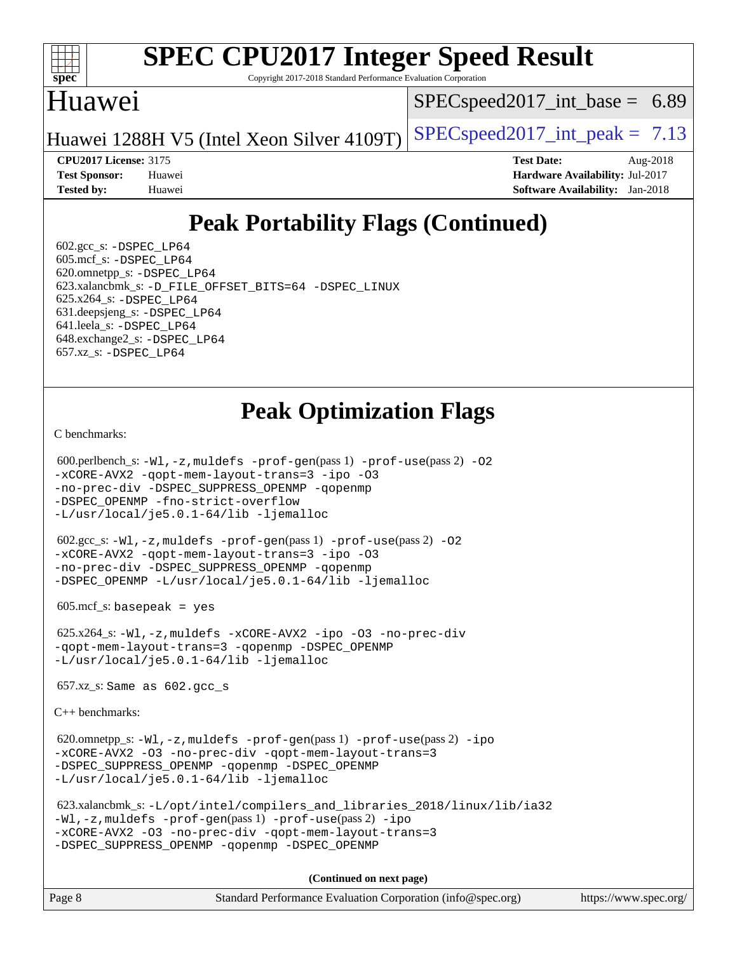

Copyright 2017-2018 Standard Performance Evaluation Corporation

#### Huawei

 $SPECspeed2017\_int\_base = 6.89$ 

Huawei 1288H V5 (Intel Xeon Silver 4109T) [SPECspeed2017\\_int\\_peak =](http://www.spec.org/auto/cpu2017/Docs/result-fields.html#SPECspeed2017intpeak)  $7.13$ 

**[CPU2017 License:](http://www.spec.org/auto/cpu2017/Docs/result-fields.html#CPU2017License)** 3175 **[Test Date:](http://www.spec.org/auto/cpu2017/Docs/result-fields.html#TestDate)** Aug-2018 **[Test Sponsor:](http://www.spec.org/auto/cpu2017/Docs/result-fields.html#TestSponsor)** Huawei **[Hardware Availability:](http://www.spec.org/auto/cpu2017/Docs/result-fields.html#HardwareAvailability)** Jul-2017 **[Tested by:](http://www.spec.org/auto/cpu2017/Docs/result-fields.html#Testedby)** Huawei **[Software Availability:](http://www.spec.org/auto/cpu2017/Docs/result-fields.html#SoftwareAvailability)** Jan-2018

## **[Peak Portability Flags \(Continued\)](http://www.spec.org/auto/cpu2017/Docs/result-fields.html#PeakPortabilityFlags)**

 $602.\text{gcc}\simeq$  -DSPEC LP64 605.mcf\_s: [-DSPEC\\_LP64](http://www.spec.org/cpu2017/results/res2018q4/cpu2017-20180909-08823.flags.html#suite_peakPORTABILITY605_mcf_s_DSPEC_LP64) 620.omnetpp\_s: [-DSPEC\\_LP64](http://www.spec.org/cpu2017/results/res2018q4/cpu2017-20180909-08823.flags.html#suite_peakPORTABILITY620_omnetpp_s_DSPEC_LP64) 623.xalancbmk\_s: [-D\\_FILE\\_OFFSET\\_BITS=64](http://www.spec.org/cpu2017/results/res2018q4/cpu2017-20180909-08823.flags.html#user_peakPORTABILITY623_xalancbmk_s_file_offset_bits_64_5ae949a99b284ddf4e95728d47cb0843d81b2eb0e18bdfe74bbf0f61d0b064f4bda2f10ea5eb90e1dcab0e84dbc592acfc5018bc955c18609f94ddb8d550002c) [-DSPEC\\_LINUX](http://www.spec.org/cpu2017/results/res2018q4/cpu2017-20180909-08823.flags.html#b623.xalancbmk_s_peakCXXPORTABILITY_DSPEC_LINUX) 625.x264\_s: [-DSPEC\\_LP64](http://www.spec.org/cpu2017/results/res2018q4/cpu2017-20180909-08823.flags.html#suite_peakPORTABILITY625_x264_s_DSPEC_LP64) 631.deepsjeng\_s: [-DSPEC\\_LP64](http://www.spec.org/cpu2017/results/res2018q4/cpu2017-20180909-08823.flags.html#suite_peakPORTABILITY631_deepsjeng_s_DSPEC_LP64) 641.leela\_s: [-DSPEC\\_LP64](http://www.spec.org/cpu2017/results/res2018q4/cpu2017-20180909-08823.flags.html#suite_peakPORTABILITY641_leela_s_DSPEC_LP64) 648.exchange2\_s: [-DSPEC\\_LP64](http://www.spec.org/cpu2017/results/res2018q4/cpu2017-20180909-08823.flags.html#suite_peakPORTABILITY648_exchange2_s_DSPEC_LP64) 657.xz\_s: [-DSPEC\\_LP64](http://www.spec.org/cpu2017/results/res2018q4/cpu2017-20180909-08823.flags.html#suite_peakPORTABILITY657_xz_s_DSPEC_LP64)

## **[Peak Optimization Flags](http://www.spec.org/auto/cpu2017/Docs/result-fields.html#PeakOptimizationFlags)**

[C benchmarks](http://www.spec.org/auto/cpu2017/Docs/result-fields.html#Cbenchmarks):

```
(info@spec.org)https://www.spec.org/
 600.perlbench_s: -Wl,-z,muldefs -prof-gen(pass 1) -prof-use(pass 2) -O2
-xCORE-AVX2 -qopt-mem-layout-trans=3 -ipo -O3
-no-prec-div -DSPEC_SUPPRESS_OPENMP -qopenmp
-DSPEC_OPENMP -fno-strict-overflow
-L/usr/local/je5.0.1-64/lib -ljemalloc
 602.gcc_s: -Wl,-z,muldefs -prof-gen(pass 1) -prof-use(pass 2) -O2
-xCORE-AVX2 -qopt-mem-layout-trans=3 -ipo -O3
-no-prec-div -DSPEC_SUPPRESS_OPENMP -qopenmp
-DSPEC_OPENMP -L/usr/local/je5.0.1-64/lib -ljemalloc
 605.mcf_s: basepeak = yes
 625.x264_s: -Wl,-z,muldefs -xCORE-AVX2 -ipo -O3 -no-prec-div
-qopt-mem-layout-trans=3 -qopenmp -DSPEC_OPENMP
-L/usr/local/je5.0.1-64/lib -ljemalloc
 657.xz_s: Same as 602.gcc_s
C++ benchmarks: 
620.omnetpp_s:-W1-prof-use-ipo
-xCORE-AVX2 -O3 -no-prec-div -qopt-mem-layout-trans=3
-DSPEC_SUPPRESS_OPENMP -qopenmp -DSPEC_OPENMP
-L/usr/local/je5.0.1-64/lib -ljemalloc
 623.xalancbmk_s: -L/opt/intel/compilers_and_libraries_2018/linux/lib/ia32
-Wl,-z,muldefs -prof-gen(pass 1) -prof-use(pass 2) -ipo
-xCORE-AVX2 -O3 -no-prec-div -qopt-mem-layout-trans=3
-DSPEC_SUPPRESS_OPENMP -qopenmp -DSPEC_OPENMP
                                   (Continued on next page)
```